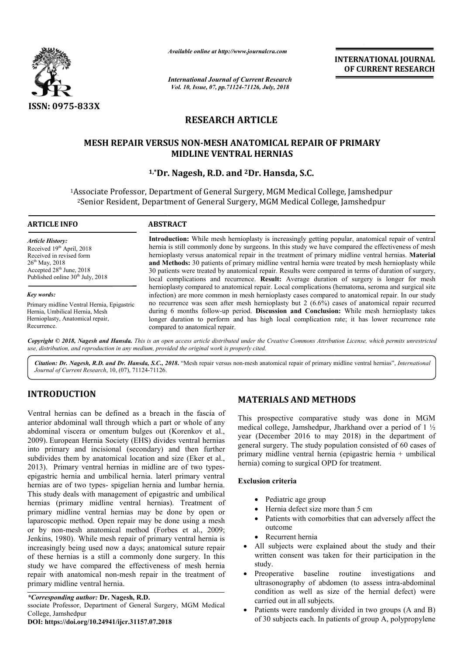

*Available online at http://www.journalcra.com*

*International Journal of Current Research Vol. 10, Issue, 07, pp.71124-71126, July, 2018*

**INTERNATIONAL JOURNAL OF CURRENT RESEARCH**

# **RESEARCH ARTICLE**

# **MESH REPAIR VERSUS NON NON-MESH ANATOMICAL REPAIR OF PRIMARY MESH OF PRIMARY MIDLINE VENTRAL HERNIAS**

# **1,\*Dr. Nagesh, R.D. and Dr. 2Dr. Hansda, S.C.**

<sup>1</sup>Associate Professor, Department of General Surgery, MGM Medical College, Jamshedpur <sup>2</sup>Senior Resident, Department of General Surgery, MGM Medical College, Jamshedpur

#### **ARTICLE INFO ABSTRACT**

*Article History:* Received 19<sup>th</sup> April, 2018 Received in revised form 26th May, 2018 Accepted  $28<sup>th</sup>$  June,  $2018$ Published online  $30<sup>th</sup>$  July, 2018

*Key words:*

Primary midline Ventral Hernia, Epigastric Hernia, Umbilical Hernia, Mesh Hernioplasty, Anatomical repair, Recurrence.

**Introduction:** While mesh hernioplasty is increasingly getting popular, anatomical repair of ventral hernia is still commonly done by surgeons. In this study we have compared the effectiveness of mesh hernioplasty versus anatomical repair in the treatment of primary midline ventral hernias. Material and Methods: 30 patients of primary midline ventral hernia were treated by mesh hernioplasty while 30 patients were treated by anatomical repair. Results were compared in terms of duration of surgery, local complications and recurrence. **Result:** Average duration of surgery is longer for mesh hernioplasty compared to anatomical repair. Local complications (hematoma, infection) are more common in mesh hernioplasty cases compared to anatomical repair. In our study no recurrence was seen after mesh hernioplasty but  $2(6.6%)$  cases of anatomical repair recurred during 6 months follow-up period. Discussion and Conclusion: While mesh hernioplasty takes longer duration to perform and has high local complication rate; it has lower recurrence rate compared to anatomical repair. Introduction: While mesh hernioplasty is increasingly getting popular, anatomical repair of ventral hernia is still commonly done by surgeons. In this study we have compared the effectiveness of mesh hernioplasty versus an and Methods: 30 patients of primary midline ventral hernia were treated by mesh hernioplasty while 30 patients were treated by anatomical repair. Results were compared in terms of duration of surgery, local complications a **INTERNATIONAL JOURNAL (OF CURRENT RESEARCH CHARGE CONSUMPLY CONSUMPLY (1) A CONSUMPLY (1) A CONSUMPLY CONSUMPLY (TILL BEPAIR OF PRIMARY IF THESTARY IF THESTARY IF THE STANDA METHOD MULTIMATER IF THE AND AND MEDICAL COLLE** 

Copyright © 2018, Nagesh and Hansda. This is an open access article distributed under the Creative Commons Attribution License, which permits unrestrictea *use, distribution, and reproduction in any medium, provided the original work is properly cited.*

Citation: Dr. Nagesh, R.D. and Dr. Hansda, S.C., 2018. "Mesh repair versus non-mesh anatomical repair of primary midline ventral hernias", *International Journal of Current Research*, 10, (07), 71124-71126.

# **INTRODUCTION**

Ventral hernias can be defined as a breach in the fascia of anterior abdominal wall through which a part or whole of any abdominal viscera or omentum bulges out (Korenkov et al., 2009). European Hernia Society (EHS) divides ventral hernias into primary and incisional (secondary) and then further subdivides them by anatomical location and size (Eker et al., 2013). Primary ventral hernias in midline are of two typesepigastric hernia and umbilical hernia. laterl primary ventral hernias are of two types- spigelian hernia and lumbar hernia. This study deals with management of epigastric and umbilical hernias (primary midline ventral hernias). Treatment of primary midline ventral hernias may be done by open or laparoscopic method. Open repair may be done using a mesh or by non-mesh anatomical method (Forbes et al., 2009; Jenkins, 1980). While mesh repair of primary ventral hernia is increasingly being used now a days; anatomical suture repair of these hernias is a still a commonly done surgery. In this study we have compared the effectiveness of mesh hernia repair with anatomical non-mesh repair in the treatment of primary midline ventral hernia. **MATERIALS AND METHODS**<br> **MATERIALS AND METHODS**<br>
ugh which a part or whole of any<br>
ugh which a part or whole of any<br>
um bulges out (Korenkov et al.,<br>
tery (EHS) divides ventral hermias<br>
using the function and size (Eker e

### *\*Corresponding author:* **Dr. Nagesh, R.D.**

ssociate Professor, Department of General Surgery, MGM Medical College, Jamshedpur

#### **DOI: https://doi.org/10.24941/ijcr.31157.07.2018**

# **MATERIALS AND METHODS**

This prospective comparative study was done in MGM medical college, Jamshedpur, Jharkhand over a period of 1 ½ year (December 2016 to may 2018) in the department of general surgery. The study population consisted of 60 cases of year (December 2016 to may 2018) in the department of general surgery. The study population consisted of 60 cases of primary midline ventral hernia (epigastric hernia + umbilical hernia) coming to surgical OPD for treatment.

#### **Exclusion criteria**

- Pediatric age group
- Hernia defect size more than 5 cm
- Patients with comorbities that can adversely affect the outcome
- Recurrent hernia
- All subjects were explained about the study and their written consent was taken for their participation in the study.
- Preoperative baseline routine investigations and ultrasonography of abdomen (to assess intra-abdominal condition as well as size of the hernial defect) were carried out in all subjects. written consent was taken for their participation in the<br>study.<br>Preoperative baseline routine investigations and<br>ultrasonography of abdomen (to assess intra-abdominal
- Patients were randomly divided in two groups (A and B) of 30 subjects each. In patients of group A, polypropylene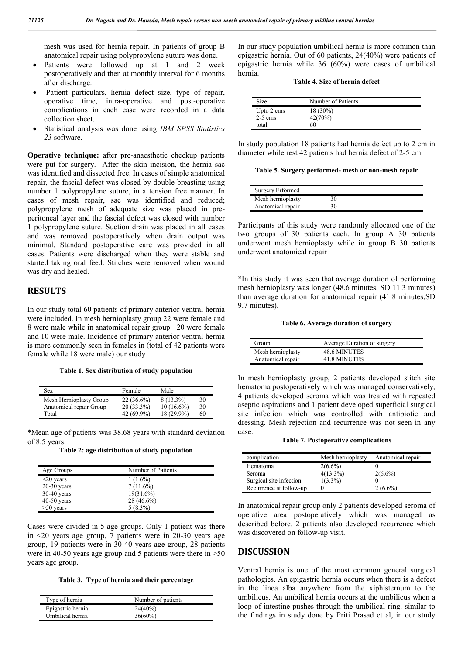mesh was used for hernia repair. In patients of group B anatomical repair using polypropylene suture was done.

- Patients were followed up at 1 and 2 week postoperatively and then at monthly interval for 6 months after discharge.
- Patient particulars, hernia defect size, type of repair, operative time, intra-operative and post-operative complications in each case were recorded in a data collection sheet.
- Statistical analysis was done using *IBM SPSS Statistics 23* software.

**Operative technique:** after pre-anaesthetic checkup patients were put for surgery. After the skin incision, the hernia sac was identified and dissected free. In cases of simple anatomical repair, the fascial defect was closed by double breasting using number 1 polypropylene suture, in a tension free manner. In cases of mesh repair, sac was identified and reduced; polypropylene mesh of adequate size was placed in preperitoneal layer and the fascial defect was closed with number 1 polypropylene suture. Suction drain was placed in all cases and was removed postoperatively when drain output was minimal. Standard postoperative care was provided in all cases. Patients were discharged when they were stable and started taking oral feed. Stitches were removed when wound was dry and healed.

## **RESULTS**

In our study total 60 patients of primary anterior ventral hernia were included. In mesh hernioplasty group 22 were female and 8 were male while in anatomical repair group 20 were female and 10 were male. Incidence of primary anterior ventral hernia is more commonly seen in females in (total of 42 patients were female while 18 were male) our study

**Table 1. Sex distribution of study population**

| Sex                     | Female       | Male         |    |
|-------------------------|--------------|--------------|----|
| Mesh Hernioplasty Group | $22(36.6\%)$ | $8(13.3\%)$  | 30 |
| Anatomical repair Group | $20(33.3\%)$ | $10(16.6\%)$ | 30 |
| Total                   | 42 (69.9%)   | 18 (29.9%)   | 60 |

\*Mean age of patients was 38.68 years with standard deviation of 8.5 years.

**Table 2: age distribution of study population**

| Age Groups      | Number of Patients |
|-----------------|--------------------|
| $\leq$ 20 years | $1(1.6\%)$         |
| $20-30$ years   | $7(11.6\%)$        |
| $30-40$ years   | $19(31.6\%)$       |
| $40-50$ years   | 28 (46.6%)         |
| $>50$ years     | $5(8.3\%)$         |

Cases were divided in 5 age groups. Only 1 patient was there in <20 years age group, 7 patients were in 20-30 years age group, 19 patients were in 30-40 years age group, 28 patients were in 40-50 years age group and 5 patients were there in >50 years age group.

**Table 3. Type of hernia and their percentage**

| Type of hernia    | Number of patients |
|-------------------|--------------------|
| Epigastric hernia | $24(40\%)$         |
| Umbilical hernia  | $36(60\%)$         |

In our study population umbilical hernia is more common than epigastric hernia. Out of 60 patients, 24(40%) were patients of epigastric hernia while 36 (60%) were cases of umbilical hernia.

| Table 4. Size of hernia defect |  |  |  |
|--------------------------------|--|--|--|
|--------------------------------|--|--|--|

| Size       | Number of Patients |
|------------|--------------------|
| Upto 2 cms | $18(30\%)$         |
| $2-5$ cms  | 42(70%)            |
| total      | 50                 |

In study population 18 patients had hernia defect up to 2 cm in diameter while rest 42 patients had hernia defect of 2-5 cm

|  |  | Table 5. Surgery performed- mesh or non-mesh repair |  |  |
|--|--|-----------------------------------------------------|--|--|
|  |  |                                                     |  |  |

| Surgery Erformed  |    |  |
|-------------------|----|--|
| Mesh hernioplasty | 30 |  |
| Anatomical repair | 30 |  |

Participants of this study were randomly allocated one of the two groups of 30 patients each. In group A 30 patients underwent mesh hernioplasty while in group B 30 patients underwent anatomical repair

\*In this study it was seen that average duration of performing mesh hernioplasty was longer (48.6 minutes, SD 11.3 minutes) than average duration for anatomical repair (41.8 minutes,SD 9.7 minutes).

#### **Table 6. Average duration of surgery**

| Group             | Average Duration of surgery |
|-------------------|-----------------------------|
| Mesh hernioplasty | <b>48.6 MINUTES</b>         |
| Anatomical repair | 41.8 MINUTES                |

In mesh hernioplasty group, 2 patients developed stitch site hematoma postoperatively which was managed conservatively, 4 patients developed seroma which was treated with repeated aseptic aspirations and 1 patient developed superficial surgical site infection which was controlled with antibiotic and dressing. Mesh rejection and recurrence was not seen in any case.

| <b>Table 7. Postoperative complications</b> |  |
|---------------------------------------------|--|
|                                             |  |

| complication            | Mesh hernioplasty | Anatomical repair |
|-------------------------|-------------------|-------------------|
| Hematoma                | $2(6.6\%)$        |                   |
| Seroma                  | $4(13.3\%)$       | $2(6.6\%)$        |
| Surgical site infection | $1(3.3\%)$        |                   |
| Recurrence at follow-up |                   | $2(6.6\%)$        |

In anatomical repair group only 2 patients developed seroma of operative area postoperatively which was managed as described before. 2 patients also developed recurrence which was discovered on follow-up visit.

#### **DISCUSSION**

Ventral hernia is one of the most common general surgical pathologies. An epigastric hernia occurs when there is a defect in the linea alba anywhere from the xiphisternum to the umbilicus. An umbilical hernia occurs at the umbilicus when a loop of intestine pushes through the umbilical ring. similar to the findings in study done by Priti Prasad et al, in our study